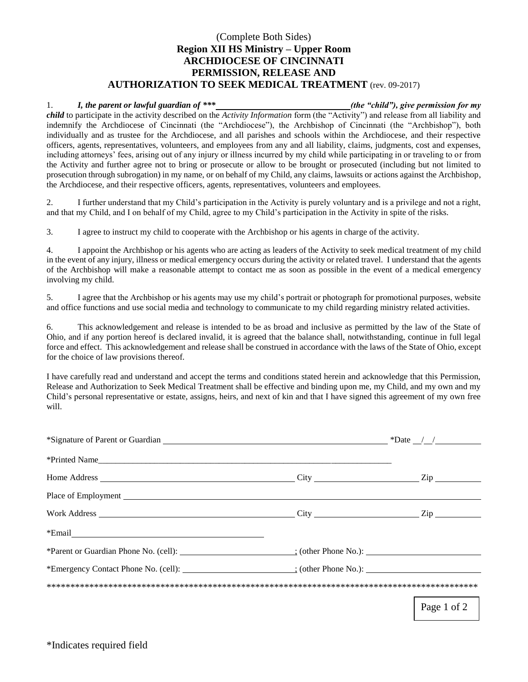# (Complete Both Sides) **Region XII HS Ministry – Upper Room ARCHDIOCESE OF CINCINNATI PERMISSION, RELEASE AND AUTHORIZATION TO SEEK MEDICAL TREATMENT** (rev. 09-2017)

#### 1. *I, the parent or lawful guardian of \*\*\* (the "child"), give permission for my child* to participate in the activity described on the *Activity Information* form (the "Activity") and release from all liability and indemnify the Archdiocese of Cincinnati (the "Archdiocese"), the Archbishop of Cincinnati (the "Archbishop"), both individually and as trustee for the Archdiocese, and all parishes and schools within the Archdiocese, and their respective officers, agents, representatives, volunteers, and employees from any and all liability, claims, judgments, cost and expenses, including attorneys' fees, arising out of any injury or illness incurred by my child while participating in or traveling to or from the Activity and further agree not to bring or prosecute or allow to be brought or prosecuted (including but not limited to prosecution through subrogation) in my name, or on behalf of my Child, any claims, lawsuits or actions against the Archbishop, the Archdiocese, and their respective officers, agents, representatives, volunteers and employees.

2. I further understand that my Child's participation in the Activity is purely voluntary and is a privilege and not a right, and that my Child, and I on behalf of my Child, agree to my Child's participation in the Activity in spite of the risks.

3. I agree to instruct my child to cooperate with the Archbishop or his agents in charge of the activity.

4. I appoint the Archbishop or his agents who are acting as leaders of the Activity to seek medical treatment of my child in the event of any injury, illness or medical emergency occurs during the activity or related travel. I understand that the agents of the Archbishop will make a reasonable attempt to contact me as soon as possible in the event of a medical emergency involving my child.

5. I agree that the Archbishop or his agents may use my child's portrait or photograph for promotional purposes, website and office functions and use social media and technology to communicate to my child regarding ministry related activities.

6. This acknowledgement and release is intended to be as broad and inclusive as permitted by the law of the State of Ohio, and if any portion hereof is declared invalid, it is agreed that the balance shall, notwithstanding, continue in full legal force and effect. This acknowledgement and release shall be construed in accordance with the laws of the State of Ohio, except for the choice of law provisions thereof.

I have carefully read and understand and accept the terms and conditions stated herein and acknowledge that this Permission, Release and Authorization to Seek Medical Treatment shall be effective and binding upon me, my Child, and my own and my Child's personal representative or estate, assigns, heirs, and next of kin and that I have signed this agreement of my own free will.

|                                                                                                    | *Date $/$ $/$                     |
|----------------------------------------------------------------------------------------------------|-----------------------------------|
| *Printed Name                                                                                      |                                   |
|                                                                                                    | $\frac{City}{}$ \n $\frac{Zip}{}$ |
|                                                                                                    |                                   |
|                                                                                                    |                                   |
|                                                                                                    |                                   |
| *Parent or Guardian Phone No. (cell): (and it is not all contact the South of Cuardian Phone No.): |                                   |
| *Emergency Contact Phone No. (cell): (context of the Phone No.):                                   |                                   |
|                                                                                                    |                                   |
|                                                                                                    |                                   |

Page 1 of 2